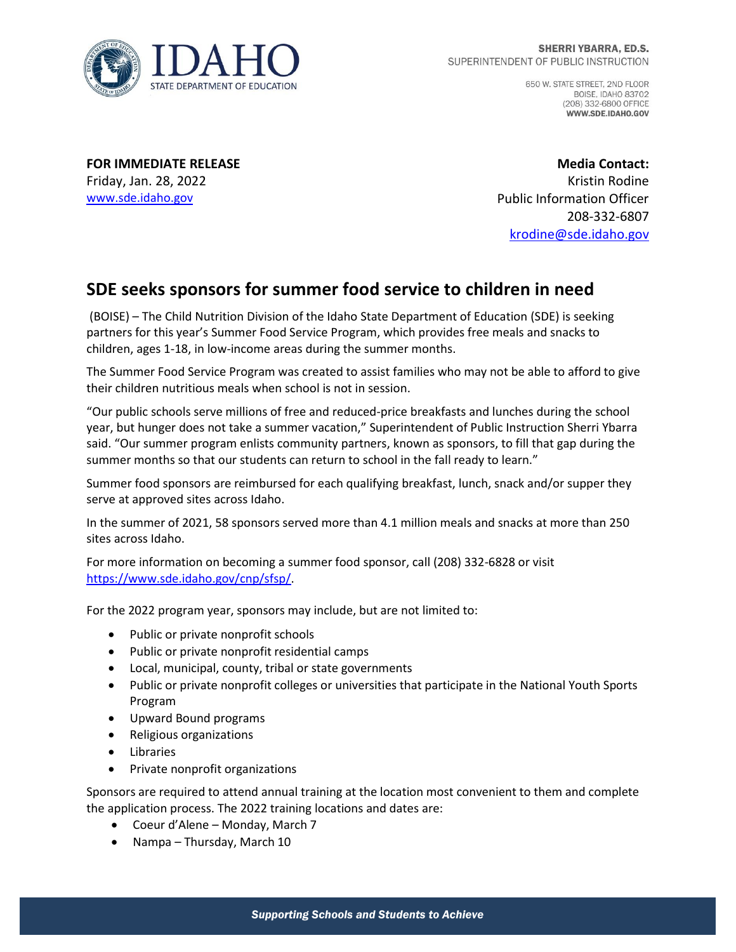

650 W. STATE STREET, 2ND FLOOR **BOISE, IDAHO 83702** (208) 332-6800 OFFICE WWW.SDE.IDAHO.GOV

**FOR IMMEDIATE RELEASE** Friday, Jan. 28, 2022 [www.sde.idaho.gov](http://www.sde.idaho.gov/)

**Media Contact:** Kristin Rodine Public Information Officer 208-332-6807 [krodine@sde.idaho.gov](mailto:krodine@sde.idaho.gov)

## **SDE seeks sponsors for summer food service to children in need**

(BOISE) – The Child Nutrition Division of the Idaho State Department of Education (SDE) is seeking partners for this year's Summer Food Service Program, which provides free meals and snacks to children, ages 1-18, in low-income areas during the summer months.

The Summer Food Service Program was created to assist families who may not be able to afford to give their children nutritious meals when school is not in session.

"Our public schools serve millions of free and reduced-price breakfasts and lunches during the school year, but hunger does not take a summer vacation," Superintendent of Public Instruction Sherri Ybarra said. "Our summer program enlists community partners, known as sponsors, to fill that gap during the summer months so that our students can return to school in the fall ready to learn."

Summer food sponsors are reimbursed for each qualifying breakfast, lunch, snack and/or supper they serve at approved sites across Idaho.

In the summer of 2021, 58 sponsors served more than 4.1 million meals and snacks at more than 250 sites across Idaho.

For more information on becoming a summer food sponsor, call (208) 332-6828 or visit [https://www.sde.idaho.gov/cnp/sfsp/.](https://www.sde.idaho.gov/cnp/sfsp/)

For the 2022 program year, sponsors may include, but are not limited to:

- Public or private nonprofit schools
- Public or private nonprofit residential camps
- Local, municipal, county, tribal or state governments
- Public or private nonprofit colleges or universities that participate in the National Youth Sports Program
- Upward Bound programs
- Religious organizations
- Libraries
- Private nonprofit organizations

Sponsors are required to attend annual training at the location most convenient to them and complete the application process. The 2022 training locations and dates are:

- Coeur d'Alene Monday, March 7
- Nampa Thursday, March 10